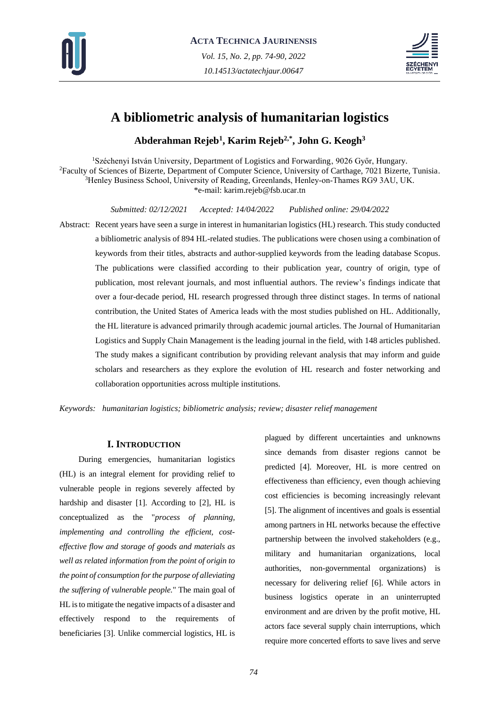



# **A bibliometric analysis of humanitarian logistics**

**Abderahman Rejeb<sup>1</sup> , Karim Rejeb2,\* , John G. Keogh<sup>3</sup>**

<sup>1</sup>Széchenyi István University, Department of Logistics and Forwarding, 9026 Győr, Hungary. <sup>2</sup>Faculty of Sciences of Bizerte, Department of Computer Science, University of Carthage, 7021 Bizerte, Tunisia. <sup>3</sup>Henley Business School, University of Reading, Greenlands, Henley-on-Thames RG9 3AU, UK. \*e-mail: karim.rejeb@fsb.ucar.tn

*Submitted: 02/12/2021 Accepted: 14/04/2022 Published online: 29/04/2022*

Abstract: Recent years have seen a surge in interest in humanitarian logistics (HL) research. This study conducted a bibliometric analysis of 894 HL-related studies. The publications were chosen using a combination of keywords from their titles, abstracts and author-supplied keywords from the leading database Scopus. The publications were classified according to their publication year, country of origin, type of publication, most relevant journals, and most influential authors. The review's findings indicate that over a four-decade period, HL research progressed through three distinct stages. In terms of national contribution, the United States of America leads with the most studies published on HL. Additionally, the HL literature is advanced primarily through academic journal articles. The Journal of Humanitarian Logistics and Supply Chain Management is the leading journal in the field, with 148 articles published. The study makes a significant contribution by providing relevant analysis that may inform and guide scholars and researchers as they explore the evolution of HL research and foster networking and collaboration opportunities across multiple institutions.

*Keywords: humanitarian logistics; bibliometric analysis; review; disaster relief management*

# **I. INTRODUCTION**

During emergencies, humanitarian logistics (HL) is an integral element for providing relief to vulnerable people in regions severely affected by hardship and disaster [1]. According to [2], HL is conceptualized as the "*process of planning, implementing and controlling the efficient, costeffective flow and storage of goods and materials as well as related information from the point of origin to the point of consumption for the purpose of alleviating the suffering of vulnerable people.*" The main goal of HL is to mitigate the negative impacts of a disaster and effectively respond to the requirements of beneficiaries [3]. Unlike commercial logistics, HL is plagued by different uncertainties and unknowns since demands from disaster regions cannot be predicted [4]. Moreover, HL is more centred on effectiveness than efficiency, even though achieving cost efficiencies is becoming increasingly relevant [5]. The alignment of incentives and goals is essential among partners in HL networks because the effective partnership between the involved stakeholders (e.g., military and humanitarian organizations, local authorities, non-governmental organizations) is necessary for delivering relief [6]. While actors in business logistics operate in an uninterrupted environment and are driven by the profit motive, HL actors face several supply chain interruptions, which require more concerted efforts to save lives and serve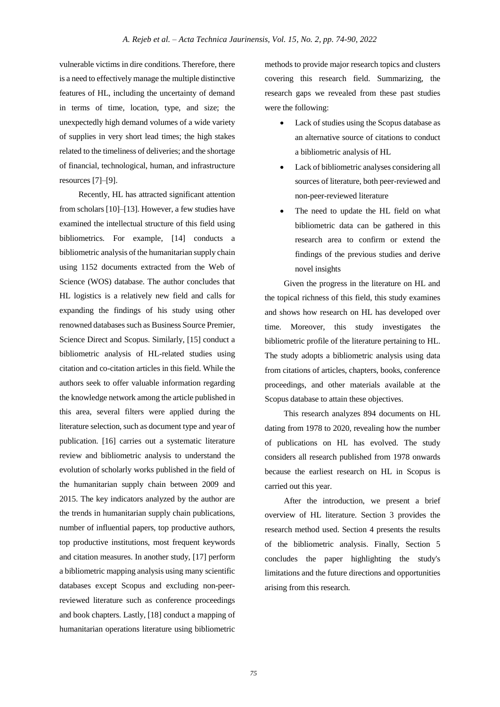vulnerable victims in dire conditions. Therefore, there is a need to effectively manage the multiple distinctive features of HL, including the uncertainty of demand in terms of time, location, type, and size; the unexpectedly high demand volumes of a wide variety of supplies in very short lead times; the high stakes related to the timeliness of deliveries; and the shortage of financial, technological, human, and infrastructure resources [7]–[9].

Recently, HL has attracted significant attention from scholars [10]–[13]. However, a few studies have examined the intellectual structure of this field using bibliometrics. For example, [14] conducts a bibliometric analysis of the humanitarian supply chain using 1152 documents extracted from the Web of Science (WOS) database. The author concludes that HL logistics is a relatively new field and calls for expanding the findings of his study using other renowned databases such as Business Source Premier, Science Direct and Scopus. Similarly, [15] conduct a bibliometric analysis of HL-related studies using citation and co-citation articles in this field. While the authors seek to offer valuable information regarding the knowledge network among the article published in this area, several filters were applied during the literature selection, such as document type and year of publication. [16] carries out a systematic literature review and bibliometric analysis to understand the evolution of scholarly works published in the field of the humanitarian supply chain between 2009 and 2015. The key indicators analyzed by the author are the trends in humanitarian supply chain publications, number of influential papers, top productive authors, top productive institutions, most frequent keywords and citation measures. In another study, [17] perform a bibliometric mapping analysis using many scientific databases except Scopus and excluding non-peerreviewed literature such as conference proceedings and book chapters. Lastly, [18] conduct a mapping of humanitarian operations literature using bibliometric

methods to provide major research topics and clusters covering this research field. Summarizing, the research gaps we revealed from these past studies were the following:

- Lack of studies using the Scopus database as an alternative source of citations to conduct a bibliometric analysis of HL
- Lack of bibliometric analyses considering all sources of literature, both peer-reviewed and non-peer-reviewed literature
- The need to update the HL field on what bibliometric data can be gathered in this research area to confirm or extend the findings of the previous studies and derive novel insights

Given the progress in the literature on HL and the topical richness of this field, this study examines and shows how research on HL has developed over time. Moreover, this study investigates the bibliometric profile of the literature pertaining to HL. The study adopts a bibliometric analysis using data from citations of articles, chapters, books, conference proceedings, and other materials available at the Scopus database to attain these objectives.

This research analyzes 894 documents on HL dating from 1978 to 2020, revealing how the number of publications on HL has evolved. The study considers all research published from 1978 onwards because the earliest research on HL in Scopus is carried out this year.

After the introduction, we present a brief overview of HL literature. Section 3 provides the research method used. Section 4 presents the results of the bibliometric analysis. Finally, Section 5 concludes the paper highlighting the study's limitations and the future directions and opportunities arising from this research.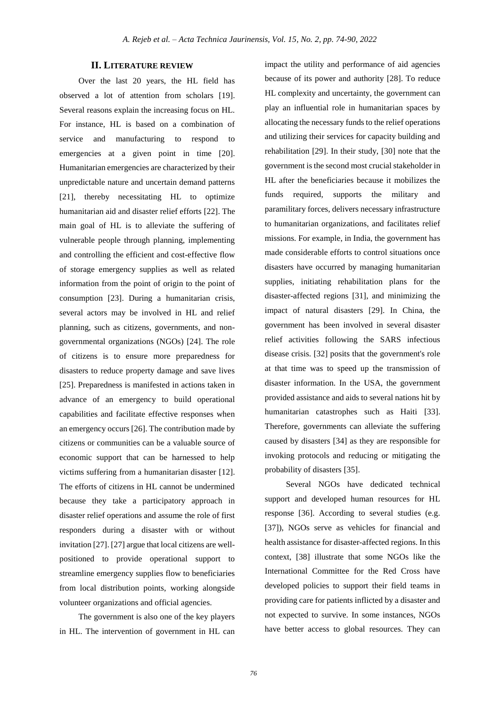# **II. LITERATURE REVIEW**

Over the last 20 years, the HL field has observed a lot of attention from scholars [19]. Several reasons explain the increasing focus on HL. For instance, HL is based on a combination of service and manufacturing to respond to emergencies at a given point in time [20]. Humanitarian emergencies are characterized by their unpredictable nature and uncertain demand patterns [21], thereby necessitating HL to optimize humanitarian aid and disaster relief efforts [22]. The main goal of HL is to alleviate the suffering of vulnerable people through planning, implementing and controlling the efficient and cost-effective flow of storage emergency supplies as well as related information from the point of origin to the point of consumption [23]. During a humanitarian crisis, several actors may be involved in HL and relief planning, such as citizens, governments, and nongovernmental organizations (NGOs) [24]. The role of citizens is to ensure more preparedness for disasters to reduce property damage and save lives [25]. Preparedness is manifested in actions taken in advance of an emergency to build operational capabilities and facilitate effective responses when an emergency occurs [26]. The contribution made by citizens or communities can be a valuable source of economic support that can be harnessed to help victims suffering from a humanitarian disaster [12]. The efforts of citizens in HL cannot be undermined because they take a participatory approach in disaster relief operations and assume the role of first responders during a disaster with or without invitation [27]. [27] argue that local citizens are wellpositioned to provide operational support to streamline emergency supplies flow to beneficiaries from local distribution points, working alongside volunteer organizations and official agencies.

The government is also one of the key players in HL. The intervention of government in HL can impact the utility and performance of aid agencies because of its power and authority [28]. To reduce HL complexity and uncertainty, the government can play an influential role in humanitarian spaces by allocating the necessary funds to the relief operations and utilizing their services for capacity building and rehabilitation [29]. In their study, [30] note that the government is the second most crucial stakeholder in HL after the beneficiaries because it mobilizes the funds required, supports the military and paramilitary forces, delivers necessary infrastructure to humanitarian organizations, and facilitates relief missions. For example, in India, the government has made considerable efforts to control situations once disasters have occurred by managing humanitarian supplies, initiating rehabilitation plans for the disaster-affected regions [31], and minimizing the impact of natural disasters [29]. In China, the government has been involved in several disaster relief activities following the SARS infectious disease crisis. [32] posits that the government's role at that time was to speed up the transmission of disaster information. In the USA, the government provided assistance and aids to several nations hit by humanitarian catastrophes such as Haiti [33]. Therefore, governments can alleviate the suffering caused by disasters [34] as they are responsible for invoking protocols and reducing or mitigating the probability of disasters [35].

Several NGOs have dedicated technical support and developed human resources for HL response [36]. According to several studies (e.g. [37]), NGOs serve as vehicles for financial and health assistance for disaster-affected regions. In this context, [38] illustrate that some NGOs like the International Committee for the Red Cross have developed policies to support their field teams in providing care for patients inflicted by a disaster and not expected to survive. In some instances, NGOs have better access to global resources. They can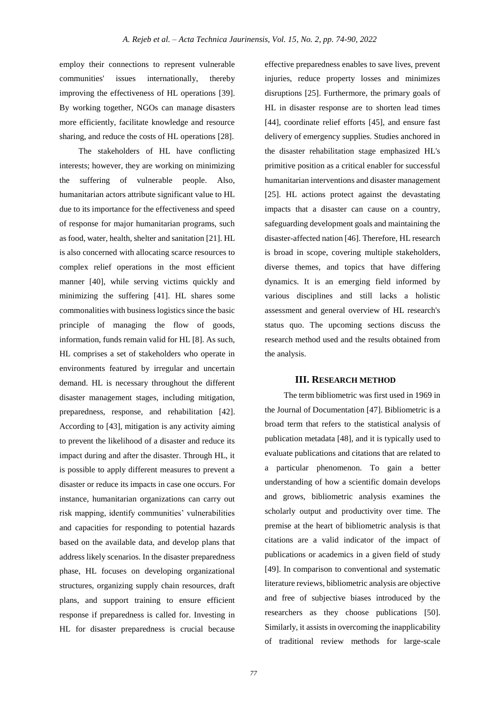employ their connections to represent vulnerable communities' issues internationally, thereby improving the effectiveness of HL operations [39]. By working together, NGOs can manage disasters more efficiently, facilitate knowledge and resource sharing, and reduce the costs of HL operations [28].

The stakeholders of HL have conflicting interests; however, they are working on minimizing the suffering of vulnerable people. Also, humanitarian actors attribute significant value to HL due to its importance for the effectiveness and speed of response for major humanitarian programs, such as food, water, health, shelter and sanitation [21]. HL is also concerned with allocating scarce resources to complex relief operations in the most efficient manner [40], while serving victims quickly and minimizing the suffering [41]. HL shares some commonalities with business logistics since the basic principle of managing the flow of goods, information, funds remain valid for HL [8]. As such, HL comprises a set of stakeholders who operate in environments featured by irregular and uncertain demand. HL is necessary throughout the different disaster management stages, including mitigation, preparedness, response, and rehabilitation [42]. According to [43], mitigation is any activity aiming to prevent the likelihood of a disaster and reduce its impact during and after the disaster. Through HL, it is possible to apply different measures to prevent a disaster or reduce its impacts in case one occurs. For instance, humanitarian organizations can carry out risk mapping, identify communities' vulnerabilities and capacities for responding to potential hazards based on the available data, and develop plans that address likely scenarios. In the disaster preparedness phase, HL focuses on developing organizational structures, organizing supply chain resources, draft plans, and support training to ensure efficient response if preparedness is called for. Investing in HL for disaster preparedness is crucial because

effective preparedness enables to save lives, prevent injuries, reduce property losses and minimizes disruptions [25]. Furthermore, the primary goals of HL in disaster response are to shorten lead times [44], coordinate relief efforts [45], and ensure fast delivery of emergency supplies. Studies anchored in the disaster rehabilitation stage emphasized HL's primitive position as a critical enabler for successful humanitarian interventions and disaster management [25]. HL actions protect against the devastating impacts that a disaster can cause on a country, safeguarding development goals and maintaining the disaster-affected nation [46]. Therefore, HL research is broad in scope, covering multiple stakeholders, diverse themes, and topics that have differing dynamics. It is an emerging field informed by various disciplines and still lacks a holistic assessment and general overview of HL research's status quo. The upcoming sections discuss the research method used and the results obtained from the analysis.

## **III. RESEARCH METHOD**

The term bibliometric was first used in 1969 in the Journal of Documentation [47]. Bibliometric is a broad term that refers to the statistical analysis of publication metadata [48], and it is typically used to evaluate publications and citations that are related to a particular phenomenon. To gain a better understanding of how a scientific domain develops and grows, bibliometric analysis examines the scholarly output and productivity over time. The premise at the heart of bibliometric analysis is that citations are a valid indicator of the impact of publications or academics in a given field of study [49]. In comparison to conventional and systematic literature reviews, bibliometric analysis are objective and free of subjective biases introduced by the researchers as they choose publications [50]. Similarly, it assists in overcoming the inapplicability of traditional review methods for large-scale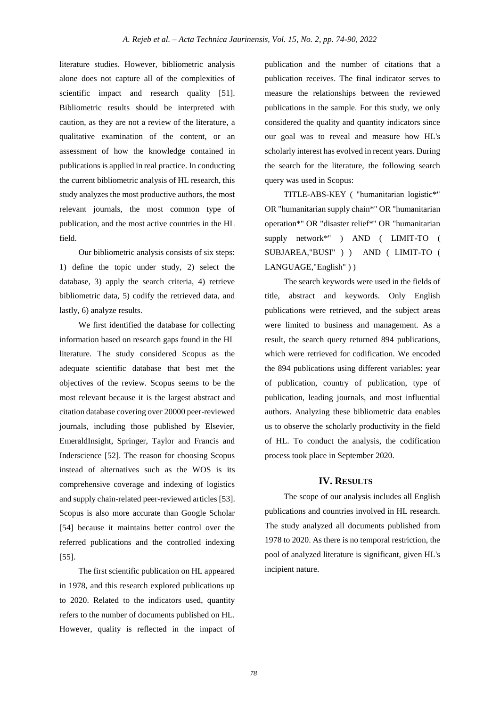literature studies. However, bibliometric analysis alone does not capture all of the complexities of scientific impact and research quality [51]. Bibliometric results should be interpreted with caution, as they are not a review of the literature, a qualitative examination of the content, or an assessment of how the knowledge contained in publications is applied in real practice. In conducting the current bibliometric analysis of HL research, this study analyzes the most productive authors, the most relevant journals, the most common type of publication, and the most active countries in the HL field.

Our bibliometric analysis consists of six steps: 1) define the topic under study, 2) select the database, 3) apply the search criteria, 4) retrieve bibliometric data, 5) codify the retrieved data, and lastly, 6) analyze results.

We first identified the database for collecting information based on research gaps found in the HL literature. The study considered Scopus as the adequate scientific database that best met the objectives of the review. Scopus seems to be the most relevant because it is the largest abstract and citation database covering over 20000 peer-reviewed journals, including those published by Elsevier, EmeraldInsight, Springer, Taylor and Francis and Inderscience [52]. The reason for choosing Scopus instead of alternatives such as the WOS is its comprehensive coverage and indexing of logistics and supply chain-related peer-reviewed articles [53]. Scopus is also more accurate than Google Scholar [54] because it maintains better control over the referred publications and the controlled indexing [55].

The first scientific publication on HL appeared in 1978, and this research explored publications up to 2020. Related to the indicators used, quantity refers to the number of documents published on HL. However, quality is reflected in the impact of publication and the number of citations that a publication receives. The final indicator serves to measure the relationships between the reviewed publications in the sample. For this study, we only considered the quality and quantity indicators since our goal was to reveal and measure how HL's scholarly interest has evolved in recent years. During the search for the literature, the following search query was used in Scopus:

TITLE-ABS-KEY ( "humanitarian logistic\*" OR "humanitarian supply chain\*" OR "humanitarian operation\*" OR "disaster relief\*" OR "humanitarian supply network\*" ) AND ( LIMIT-TO ( SUBJAREA,"BUSI" ) ) AND ( LIMIT-TO ( LANGUAGE,"English" ) )

The search keywords were used in the fields of title, abstract and keywords. Only English publications were retrieved, and the subject areas were limited to business and management. As a result, the search query returned 894 publications, which were retrieved for codification. We encoded the 894 publications using different variables: year of publication, country of publication, type of publication, leading journals, and most influential authors. Analyzing these bibliometric data enables us to observe the scholarly productivity in the field of HL. To conduct the analysis, the codification process took place in September 2020.

# **IV. RESULTS**

The scope of our analysis includes all English publications and countries involved in HL research. The study analyzed all documents published from 1978 to 2020. As there is no temporal restriction, the pool of analyzed literature is significant, given HL's incipient nature.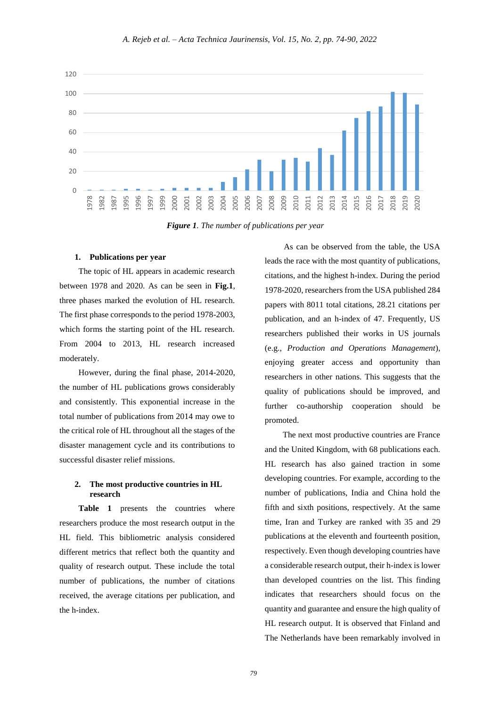

*Figure 1. The number of publications per year*

#### **1. Publications per year**

The topic of HL appears in academic research between 1978 and 2020. As can be seen in **Fig.1**, three phases marked the evolution of HL research. The first phase corresponds to the period 1978-2003, which forms the starting point of the HL research. From 2004 to 2013, HL research increased moderately.

However, during the final phase, 2014-2020, the number of HL publications grows considerably and consistently. This exponential increase in the total number of publications from 2014 may owe to the critical role of HL throughout all the stages of the disaster management cycle and its contributions to successful disaster relief missions.

# **2. The most productive countries in HL research**

**Table 1** presents the countries where researchers produce the most research output in the HL field. This bibliometric analysis considered different metrics that reflect both the quantity and quality of research output. These include the total number of publications, the number of citations received, the average citations per publication, and the h-index.

As can be observed from the table, the USA leads the race with the most quantity of publications, citations, and the highest h-index. During the period 1978-2020, researchers from the USA published 284 papers with 8011 total citations, 28.21 citations per publication, and an h-index of 47. Frequently, US researchers published their works in US journals (e.g., *Production and Operations Management*), enjoying greater access and opportunity than researchers in other nations. This suggests that the quality of publications should be improved, and further co-authorship cooperation should be promoted.

The next most productive countries are France and the United Kingdom, with 68 publications each. HL research has also gained traction in some developing countries. For example, according to the number of publications, India and China hold the fifth and sixth positions, respectively. At the same time, Iran and Turkey are ranked with 35 and 29 publications at the eleventh and fourteenth position, respectively. Even though developing countries have a considerable research output, their h-index is lower than developed countries on the list. This finding indicates that researchers should focus on the quantity and guarantee and ensure the high quality of HL research output. It is observed that Finland and The Netherlands have been remarkably involved in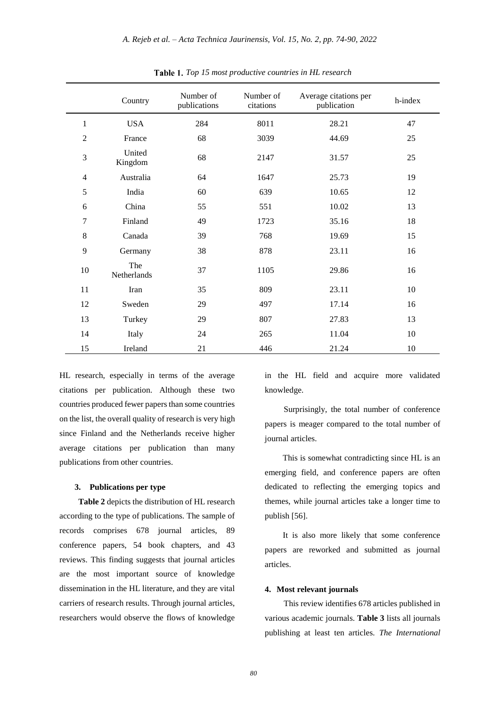|                | Country            | Number of<br>publications | Number of<br>citations | Average citations per<br>publication | h-index |
|----------------|--------------------|---------------------------|------------------------|--------------------------------------|---------|
| $\mathbf{1}$   | <b>USA</b>         | 284                       | 8011                   | 28.21                                | 47      |
| $\mathfrak{2}$ | France             | 68                        | 3039                   | 44.69                                | 25      |
| $\mathfrak{Z}$ | United<br>Kingdom  | 68                        | 2147                   | 31.57                                | 25      |
| $\overline{4}$ | Australia          | 64                        | 1647                   | 25.73                                | 19      |
| 5              | India              | 60                        | 639                    | 10.65                                | 12      |
| 6              | China              | 55                        | 551                    | 10.02                                | 13      |
| 7              | Finland            | 49                        | 1723                   | 35.16                                | 18      |
| 8              | Canada             | 39                        | 768                    | 19.69                                | 15      |
| 9              | Germany            | 38                        | 878                    | 23.11                                | 16      |
| 10             | The<br>Netherlands | 37                        | 1105                   | 29.86                                | 16      |
| 11             | Iran               | 35                        | 809                    | 23.11                                | 10      |
| 12             | Sweden             | 29                        | 497                    | 17.14                                | 16      |
| 13             | Turkey             | 29                        | 807                    | 27.83                                | 13      |
| 14             | Italy              | 24                        | 265                    | 11.04                                | 10      |
| 15             | Ireland            | 21                        | 446                    | 21.24                                | 10      |

*Top 15 most productive countries in HL research*

HL research, especially in terms of the average citations per publication. Although these two countries produced fewer papers than some countries on the list, the overall quality of research is very high since Finland and the Netherlands receive higher average citations per publication than many publications from other countries.

# **3. Publications per type**

**Table 2** depicts the distribution of HL research according to the type of publications. The sample of records comprises 678 journal articles, 89 conference papers, 54 book chapters, and 43 reviews. This finding suggests that journal articles are the most important source of knowledge dissemination in the HL literature, and they are vital carriers of research results. Through journal articles, researchers would observe the flows of knowledge

in the HL field and acquire more validated knowledge.

Surprisingly, the total number of conference papers is meager compared to the total number of journal articles.

This is somewhat contradicting since HL is an emerging field, and conference papers are often dedicated to reflecting the emerging topics and themes, while journal articles take a longer time to publish [56].

It is also more likely that some conference papers are reworked and submitted as journal articles.

#### **4. Most relevant journals**

This review identifies 678 articles published in various academic journals. **Table 3** lists all journals publishing at least ten articles. *The International*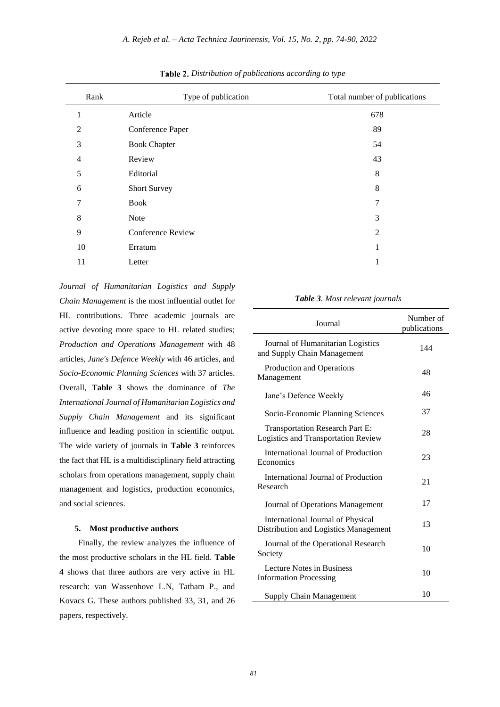| Rank           | Type of publication | Total number of publications |
|----------------|---------------------|------------------------------|
| 1              | Article             | 678                          |
| $\overline{2}$ | Conference Paper    | 89                           |
| 3              | <b>Book Chapter</b> | 54                           |
| $\overline{4}$ | Review              | 43                           |
| 5              | Editorial           | 8                            |
| 6              | <b>Short Survey</b> | 8                            |
| 7              | <b>Book</b>         | 7                            |
| 8              | Note                | 3                            |
| 9              | Conference Review   | 2                            |
| 10             | Erratum             | 1                            |
| 11             | Letter              |                              |

*Distribution of publications according to type*

*Journal of Humanitarian Logistics and Supply Chain Management* is the most influential outlet for HL contributions. Three academic journals are active devoting more space to HL related studies; *Production and Operations Management* with 48 articles, *Jane's Defence Weekly* with 46 articles, and *Socio-Economic Planning Sciences* with 37 articles. Overall, **Table 3** shows the dominance of *The International Journal of Humanitarian Logistics and Supply Chain Management* and its significant influence and leading position in scientific output. The wide variety of journals in **Table 3** reinforces the fact that HL is a multidisciplinary field attracting scholars from operations management, supply chain management and logistics, production economics, and social sciences.

## **5. Most productive authors**

Finally, the review analyzes the influence of the most productive scholars in the HL field. **Table 4** shows that three authors are very active in HL research: van Wassenhove L.N, Tatham P., and Kovacs G. These authors published 33, 31, and 26 papers, respectively.

#### *Table 3. Most relevant journals*

| Journal                                                                              | Number of<br>publications |  |
|--------------------------------------------------------------------------------------|---------------------------|--|
| Journal of Humanitarian Logistics<br>and Supply Chain Management                     | 144                       |  |
| Production and Operations<br>Management                                              | 48                        |  |
| Jane's Defence Weekly                                                                | 46                        |  |
| Socio-Economic Planning Sciences                                                     | 37                        |  |
| <b>Transportation Research Part E:</b><br><b>Logistics and Transportation Review</b> | 28                        |  |
| International Journal of Production<br>Economics                                     | 23                        |  |
| International Journal of Production<br>Research                                      | 21                        |  |
| Journal of Operations Management                                                     | 17                        |  |
| International Journal of Physical<br>Distribution and Logistics Management           | 13                        |  |
| Journal of the Operational Research<br>Society                                       | 10                        |  |
| Lecture Notes in Business<br><b>Information Processing</b>                           | 10                        |  |
| Supply Chain Management                                                              | 10                        |  |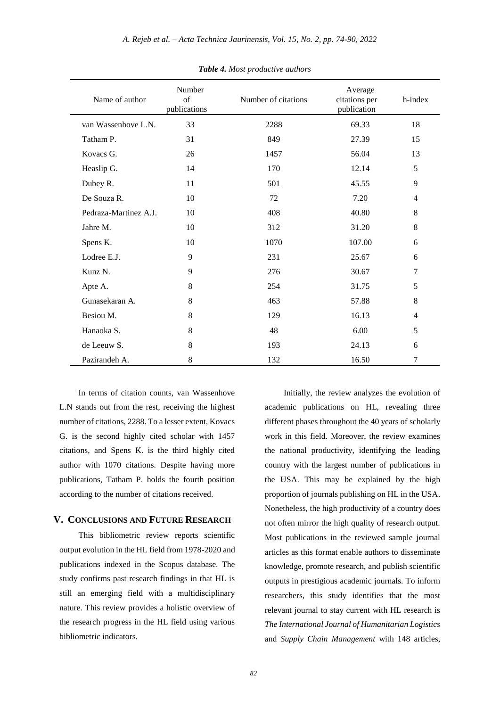| Name of author        | Number<br>of<br>publications | Number of citations | Average<br>citations per<br>publication | h-index        |
|-----------------------|------------------------------|---------------------|-----------------------------------------|----------------|
| van Wassenhove L.N.   | 33                           | 2288                | 69.33                                   | 18             |
| Tatham P.             | 31                           | 849                 | 27.39                                   | 15             |
| Kovacs G.             | 26                           | 1457                | 56.04                                   | 13             |
| Heaslip G.            | 14                           | 170                 | 12.14                                   | 5              |
| Dubey R.              | 11                           | 501                 | 45.55                                   | 9              |
| De Souza R.           | 10                           | 72                  | 7.20                                    | 4              |
| Pedraza-Martinez A.J. | 10                           | 408                 | 40.80                                   | 8              |
| Jahre M.              | 10                           | 312                 | 31.20                                   | 8              |
| Spens K.              | 10                           | 1070                | 107.00                                  | 6              |
| Lodree E.J.           | 9                            | 231                 | 25.67                                   | 6              |
| Kunz N.               | 9                            | 276                 | 30.67                                   | 7              |
| Apte A.               | 8                            | 254                 | 31.75                                   | 5              |
| Gunasekaran A.        | 8                            | 463                 | 57.88                                   | 8              |
| Besiou M.             | 8                            | 129                 | 16.13                                   | $\overline{4}$ |
| Hanaoka S.            | 8                            | 48                  | 6.00                                    | 5              |
| de Leeuw S.           | 8                            | 193                 | 24.13                                   | 6              |
| Pazirandeh A.         | 8                            | 132                 | 16.50                                   | 7              |

*Table 4. Most productive authors*

In terms of citation counts, van Wassenhove L.N stands out from the rest, receiving the highest number of citations, 2288. To a lesser extent, Kovacs G. is the second highly cited scholar with 1457 citations, and Spens K. is the third highly cited author with 1070 citations. Despite having more publications, Tatham P. holds the fourth position according to the number of citations received.

# **V. CONCLUSIONS AND FUTURE RESEARCH**

This bibliometric review reports scientific output evolution in the HL field from 1978-2020 and publications indexed in the Scopus database. The study confirms past research findings in that HL is still an emerging field with a multidisciplinary nature. This review provides a holistic overview of the research progress in the HL field using various bibliometric indicators.

Initially, the review analyzes the evolution of academic publications on HL, revealing three different phases throughout the 40 years of scholarly work in this field. Moreover, the review examines the national productivity, identifying the leading country with the largest number of publications in the USA. This may be explained by the high proportion of journals publishing on HL in the USA. Nonetheless, the high productivity of a country does not often mirror the high quality of research output. Most publications in the reviewed sample journal articles as this format enable authors to disseminate knowledge, promote research, and publish scientific outputs in prestigious academic journals. To inform researchers, this study identifies that the most relevant journal to stay current with HL research is *The International Journal of Humanitarian Logistics* and *Supply Chain Management* with 148 articles,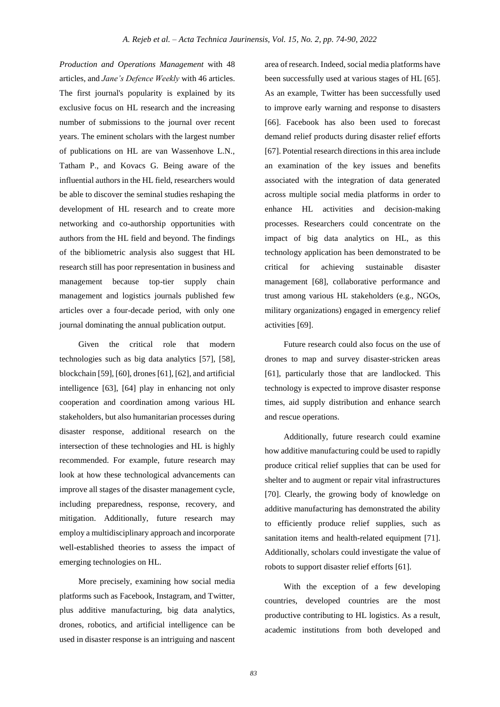*Production and Operations Management* with 48 articles, and *Jane's Defence Weekly* with 46 articles. The first journal's popularity is explained by its exclusive focus on HL research and the increasing number of submissions to the journal over recent years. The eminent scholars with the largest number of publications on HL are van Wassenhove L.N., Tatham P., and Kovacs G. Being aware of the influential authors in the HL field, researchers would be able to discover the seminal studies reshaping the development of HL research and to create more networking and co-authorship opportunities with authors from the HL field and beyond. The findings of the bibliometric analysis also suggest that HL research still has poor representation in business and management because top-tier supply chain management and logistics journals published few articles over a four-decade period, with only one journal dominating the annual publication output.

Given the critical role that modern technologies such as big data analytics [57], [58], blockchain [59], [60], drones [61], [62], and artificial intelligence [63], [64] play in enhancing not only cooperation and coordination among various HL stakeholders, but also humanitarian processes during disaster response, additional research on the intersection of these technologies and HL is highly recommended. For example, future research may look at how these technological advancements can improve all stages of the disaster management cycle, including preparedness, response, recovery, and mitigation. Additionally, future research may employ a multidisciplinary approach and incorporate well-established theories to assess the impact of emerging technologies on HL.

More precisely, examining how social media platforms such as Facebook, Instagram, and Twitter, plus additive manufacturing, big data analytics, drones, robotics, and artificial intelligence can be used in disaster response is an intriguing and nascent

area of research. Indeed, social media platforms have been successfully used at various stages of HL [65]. As an example, Twitter has been successfully used to improve early warning and response to disasters [66]. Facebook has also been used to forecast demand relief products during disaster relief efforts [67]. Potential research directions in this area include an examination of the key issues and benefits associated with the integration of data generated across multiple social media platforms in order to enhance HL activities and decision-making processes. Researchers could concentrate on the impact of big data analytics on HL, as this technology application has been demonstrated to be critical for achieving sustainable disaster management [68], collaborative performance and trust among various HL stakeholders (e.g., NGOs, military organizations) engaged in emergency relief activities [69].

Future research could also focus on the use of drones to map and survey disaster-stricken areas [61], particularly those that are landlocked. This technology is expected to improve disaster response times, aid supply distribution and enhance search and rescue operations.

Additionally, future research could examine how additive manufacturing could be used to rapidly produce critical relief supplies that can be used for shelter and to augment or repair vital infrastructures [70]. Clearly, the growing body of knowledge on additive manufacturing has demonstrated the ability to efficiently produce relief supplies, such as sanitation items and health-related equipment [71]. Additionally, scholars could investigate the value of robots to support disaster relief efforts [61].

With the exception of a few developing countries, developed countries are the most productive contributing to HL logistics. As a result, academic institutions from both developed and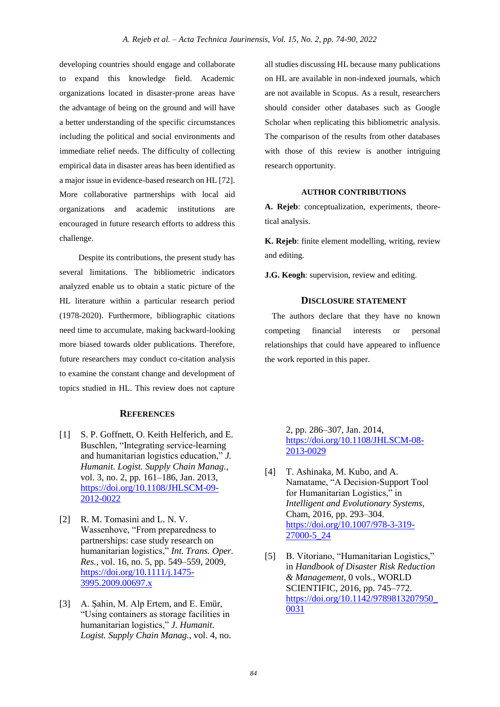developing countries should engage and collaborate to expand this knowledge field. Academic organizations located in disaster-prone areas have the advantage of being on the ground and will have a better understanding of the specific circumstances including the political and social environments and immediate relief needs. The difficulty of collecting empirical data in disaster areas has been identified as a major issue in evidence-based research on HL [72]. More collaborative partnerships with local aid organizations and academic institutions are encouraged in future research efforts to address this challenge.

Despite its contributions, the present study has several limitations. The bibliometric indicators analyzed enable us to obtain a static picture of the HL literature within a particular research period (1978-2020). Furthermore, bibliographic citations need time to accumulate, making backward-looking more biased towards older publications. Therefore, future researchers may conduct co-citation analysis to examine the constant change and development of topics studied in HL. This review does not capture

# **REFERENCES**

- [1] S. P. Goffnett, O. Keith Helferich, and E. Buschlen, "Integrating service-learning and humanitarian logistics education," *J. Humanit. Logist. Supply Chain Manag.*, vol. 3, no. 2, pp. 161–186, Jan. 2013, [https://doi.org/10.1108/JHLSCM-09-](https://doi.org/10.1108/JHLSCM-09-2012-0022) [2012-0022](https://doi.org/10.1108/JHLSCM-09-2012-0022)
- [2] R. M. Tomasini and L. N. V. Wassenhove, "From preparedness to partnerships: case study research on humanitarian logistics," *Int. Trans. Oper. Res.*, vol. 16, no. 5, pp. 549–559, 2009, [https://doi.org/10.1111/j.1475-](https://doi.org/10.1111/j.1475-3995.2009.00697.x) [3995.2009.00697.x](https://doi.org/10.1111/j.1475-3995.2009.00697.x)
- [3] A. Şahin, M. Alp Ertem, and E. Emür, "Using containers as storage facilities in humanitarian logistics," *J. Humanit. Logist. Supply Chain Manag.*, vol. 4, no.

all studies discussing HL because many publications on HL are available in non-indexed journals, which are not available in Scopus. As a result, researchers should consider other databases such as Google Scholar when replicating this bibliometric analysis. The comparison of the results from other databases with those of this review is another intriguing research opportunity.

# **AUTHOR CONTRIBUTIONS**

**A. Rejeb**: conceptualization, experiments, theoretical analysis.

**K. Rejeb**: finite element modelling, writing, review and editing.

**J.G. Keogh**: supervision, review and editing.

## **DISCLOSURE STATEMENT**

The authors declare that they have no known competing financial interests or personal relationships that could have appeared to influence the work reported in this paper.

> 2, pp. 286–307, Jan. 2014, [https://doi.org/10.1108/JHLSCM-08-](https://doi.org/10.1108/JHLSCM-08-2013-0029) [2013-0029](https://doi.org/10.1108/JHLSCM-08-2013-0029)

- [4] T. Ashinaka, M. Kubo, and A. Namatame, "A Decision-Support Tool for Humanitarian Logistics," in *Intelligent and Evolutionary Systems*, Cham, 2016, pp. 293–304. [https://doi.org/10.1007/978-3-319-](https://doi.org/10.1007/978-3-319-27000-5_24) [27000-5\\_24](https://doi.org/10.1007/978-3-319-27000-5_24)
- [5] B. Vitoriano, "Humanitarian Logistics," in *Handbook of Disaster Risk Reduction & Management*, 0 vols., WORLD SCIENTIFIC, 2016, pp. 745–772. [https://doi.org/10.1142/9789813207950\\_](https://doi.org/10.1142/9789813207950_0031) [0031](https://doi.org/10.1142/9789813207950_0031)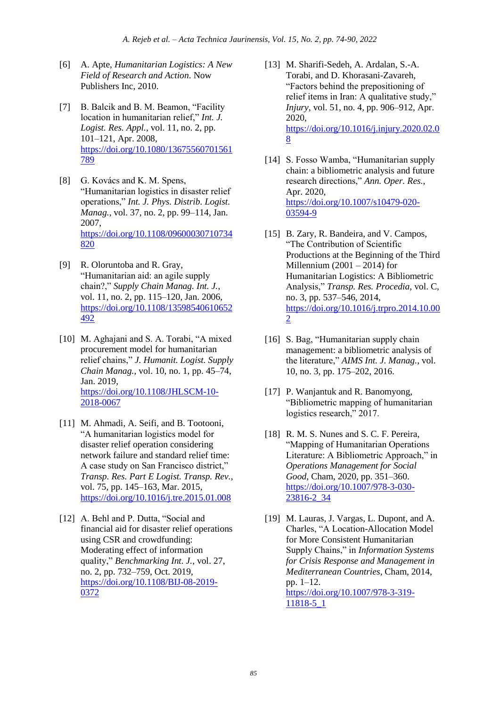- [6] A. Apte, *Humanitarian Logistics: A New Field of Research and Action*. Now Publishers Inc, 2010.
- [7] B. Balcik and B. M. Beamon, "Facility location in humanitarian relief," *Int. J. Logist. Res. Appl.*, vol. 11, no. 2, pp. 101–121, Apr. 2008, [https://doi.org/10.1080/13675560701561](https://doi.org/10.1080/13675560701561789) [789](https://doi.org/10.1080/13675560701561789)
- [8] G. Kovács and K. M. Spens, "Humanitarian logistics in disaster relief operations," *Int. J. Phys. Distrib. Logist. Manag.*, vol. 37, no. 2, pp. 99–114, Jan. 2007, [https://doi.org/10.1108/09600030710734](https://doi.org/10.1108/09600030710734820) [820](https://doi.org/10.1108/09600030710734820)
- [9] R. Oloruntoba and R. Gray, "Humanitarian aid: an agile supply chain?," *Supply Chain Manag. Int. J.*, vol. 11, no. 2, pp. 115–120, Jan. 2006, [https://doi.org/10.1108/13598540610652](https://doi.org/10.1108/13598540610652492) [492](https://doi.org/10.1108/13598540610652492)
- [10] M. Aghajani and S. A. Torabi, "A mixed procurement model for humanitarian relief chains," *J. Humanit. Logist. Supply Chain Manag.*, vol. 10, no. 1, pp. 45–74, Jan. 2019, [https://doi.org/10.1108/JHLSCM-10-](https://doi.org/10.1108/JHLSCM-10-2018-0067) [2018-0067](https://doi.org/10.1108/JHLSCM-10-2018-0067)
- [11] M. Ahmadi, A. Seifi, and B. Tootooni, "A humanitarian logistics model for disaster relief operation considering network failure and standard relief time: A case study on San Francisco district," *Transp. Res. Part E Logist. Transp. Rev.*, vol. 75, pp. 145–163, Mar. 2015, <https://doi.org/10.1016/j.tre.2015.01.008>
- [12] A. Behl and P. Dutta, "Social and financial aid for disaster relief operations using CSR and crowdfunding: Moderating effect of information quality," *Benchmarking Int. J.*, vol. 27, no. 2, pp. 732–759, Oct. 2019, [https://doi.org/10.1108/BIJ-08-2019-](https://doi.org/10.1108/BIJ-08-2019-0372) [0372](https://doi.org/10.1108/BIJ-08-2019-0372)
- [13] M. Sharifi-Sedeh, A. Ardalan, S.-A. Torabi, and D. Khorasani-Zavareh, "Factors behind the prepositioning of relief items in Iran: A qualitative study," *Injury*, vol. 51, no. 4, pp. 906–912, Apr. 2020, [https://doi.org/10.1016/j.injury.2020.02.0](https://doi.org/10.1016/j.injury.2020.02.08) [8](https://doi.org/10.1016/j.injury.2020.02.08)
- [14] S. Fosso Wamba, "Humanitarian supply chain: a bibliometric analysis and future research directions," *Ann. Oper. Res.*, Apr. 2020, [https://doi.org/10.1007/s10479-020-](https://doi.org/10.1007/s10479-020-03594-9) [03594-9](https://doi.org/10.1007/s10479-020-03594-9)
- [15] B. Zary, R. Bandeira, and V. Campos, "The Contribution of Scientific Productions at the Beginning of the Third Millennium  $(2001 – 2014)$  for Humanitarian Logistics: A Bibliometric Analysis," *Transp. Res. Procedia*, vol. C, no. 3, pp. 537–546, 2014, [https://doi.org/10.1016/j.trpro.2014.10.00](https://doi.org/10.1016/j.trpro.2014.10.002) [2](https://doi.org/10.1016/j.trpro.2014.10.002)
- [16] S. Bag, "Humanitarian supply chain management: a bibliometric analysis of the literature," *AIMS Int. J. Manag.*, vol. 10, no. 3, pp. 175–202, 2016.
- [17] P. Wanjantuk and R. Banomyong, "Bibliometric mapping of humanitarian logistics research," 2017.
- [18] R. M. S. Nunes and S. C. F. Pereira, "Mapping of Humanitarian Operations Literature: A Bibliometric Approach," in *Operations Management for Social Good*, Cham, 2020, pp. 351–360. [https://doi.org/10.1007/978-3-030-](https://doi.org/10.1007/978-3-030-23816-2_34) [23816-2\\_34](https://doi.org/10.1007/978-3-030-23816-2_34)
- [19] M. Lauras, J. Vargas, L. Dupont, and A. Charles, "A Location-Allocation Model for More Consistent Humanitarian Supply Chains," in *Information Systems for Crisis Response and Management in Mediterranean Countries*, Cham, 2014, pp. 1–12. [https://doi.org/10.1007/978-3-319-](https://doi.org/10.1007/978-3-319-11818-5_1) [11818-5\\_1](https://doi.org/10.1007/978-3-319-11818-5_1)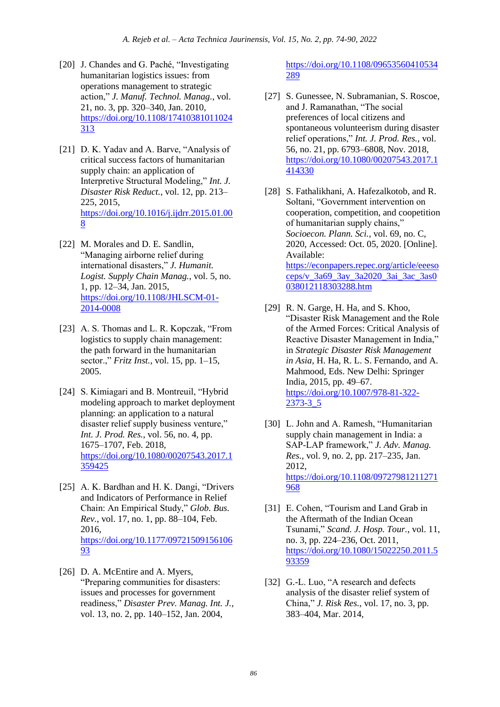- [20] J. Chandes and G. Paché, "Investigating humanitarian logistics issues: from operations management to strategic action," *J. Manuf. Technol. Manag.*, vol. 21, no. 3, pp. 320–340, Jan. 2010, [https://doi.org/10.1108/17410381011024](https://doi.org/10.1108/17410381011024313) [313](https://doi.org/10.1108/17410381011024313)
- [21] D. K. Yadav and A. Barve, "Analysis of critical success factors of humanitarian supply chain: an application of Interpretive Structural Modeling," *Int. J. Disaster Risk Reduct.*, vol. 12, pp. 213– 225, 2015, [https://doi.org/10.1016/j.ijdrr.2015.01.00](https://doi.org/10.1016/j.ijdrr.2015.01.008) [8](https://doi.org/10.1016/j.ijdrr.2015.01.008)
- [22] M. Morales and D. E. Sandlin, "Managing airborne relief during international disasters," *J. Humanit. Logist. Supply Chain Manag.*, vol. 5, no. 1, pp. 12–34, Jan. 2015, [https://doi.org/10.1108/JHLSCM-01-](https://doi.org/10.1108/JHLSCM-01-2014-0008) [2014-0008](https://doi.org/10.1108/JHLSCM-01-2014-0008)
- [23] A. S. Thomas and L. R. Kopczak, "From logistics to supply chain management: the path forward in the humanitarian sector.," *Fritz Inst.*, vol. 15, pp. 1–15, 2005.
- [24] S. Kimiagari and B. Montreuil, "Hybrid" modeling approach to market deployment planning: an application to a natural disaster relief supply business venture," *Int. J. Prod. Res.*, vol. 56, no. 4, pp. 1675–1707, Feb. 2018, [https://doi.org/10.1080/00207543.2017.1](https://doi.org/10.1080/00207543.2017.1359425) [359425](https://doi.org/10.1080/00207543.2017.1359425)
- [25] A. K. Bardhan and H. K. Dangi, "Drivers and Indicators of Performance in Relief Chain: An Empirical Study," *Glob. Bus. Rev.*, vol. 17, no. 1, pp. 88–104, Feb. 2016, [https://doi.org/10.1177/09721509156106](https://doi.org/10.1177/0972150915610693) [93](https://doi.org/10.1177/0972150915610693)
- [26] D. A. McEntire and A. Myers, "Preparing communities for disasters: issues and processes for government readiness," *Disaster Prev. Manag. Int. J.*, vol. 13, no. 2, pp. 140–152, Jan. 2004,

[https://doi.org/10.1108/09653560410534](https://doi.org/10.1108/09653560410534289) [289](https://doi.org/10.1108/09653560410534289)

- [27] S. Gunessee, N. Subramanian, S. Roscoe, and J. Ramanathan, "The social preferences of local citizens and spontaneous volunteerism during disaster relief operations," *Int. J. Prod. Res.*, vol. 56, no. 21, pp. 6793–6808, Nov. 2018, [https://doi.org/10.1080/00207543.2017.1](https://doi.org/10.1080/00207543.2017.1414330) [414330](https://doi.org/10.1080/00207543.2017.1414330)
- [28] S. Fathalikhani, A. Hafezalkotob, and R. Soltani, "Government intervention on cooperation, competition, and coopetition of humanitarian supply chains," *Socioecon. Plann. Sci.*, vol. 69, no. C, 2020, Accessed: Oct. 05, 2020. [Online]. Available: [https://econpapers.repec.org/article/eeeso](https://econpapers.repec.org/article/eeesoceps/v_3a69_3ay_3a2020_3ai_3ac_3as0038012118303288.htm) [ceps/v\\_3a69\\_3ay\\_3a2020\\_3ai\\_3ac\\_3as0](https://econpapers.repec.org/article/eeesoceps/v_3a69_3ay_3a2020_3ai_3ac_3as0038012118303288.htm) [038012118303288.htm](https://econpapers.repec.org/article/eeesoceps/v_3a69_3ay_3a2020_3ai_3ac_3as0038012118303288.htm)
- [29] R. N. Garge, H. Ha, and S. Khoo, "Disaster Risk Management and the Role of the Armed Forces: Critical Analysis of Reactive Disaster Management in India," in *Strategic Disaster Risk Management in Asia*, H. Ha, R. L. S. Fernando, and A. Mahmood, Eds. New Delhi: Springer India, 2015, pp. 49–67. [https://doi.org/10.1007/978-81-322-](https://doi.org/10.1007/978-81-322-2373-3_5) [2373-3\\_5](https://doi.org/10.1007/978-81-322-2373-3_5)
- [30] L. John and A. Ramesh, "Humanitarian supply chain management in India: a SAP‐LAP framework," *J. Adv. Manag. Res.*, vol. 9, no. 2, pp. 217–235, Jan. 2012, [https://doi.org/10.1108/09727981211271](https://doi.org/10.1108/09727981211271968) [968](https://doi.org/10.1108/09727981211271968)
- [31] E. Cohen, "Tourism and Land Grab in the Aftermath of the Indian Ocean Tsunami," *Scand. J. Hosp. Tour.*, vol. 11, no. 3, pp. 224–236, Oct. 2011, [https://doi.org/10.1080/15022250.2011.5](https://doi.org/10.1080/15022250.2011.593359) [93359](https://doi.org/10.1080/15022250.2011.593359)
- [32] G.-L. Luo, "A research and defects analysis of the disaster relief system of China," *J. Risk Res.*, vol. 17, no. 3, pp. 383–404, Mar. 2014,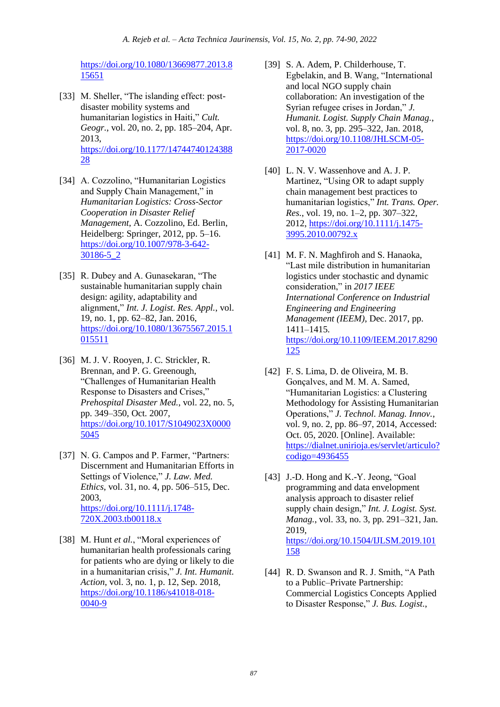[https://doi.org/10.1080/13669877.2013.8](https://doi.org/10.1080/13669877.2013.815651) [15651](https://doi.org/10.1080/13669877.2013.815651)

- [33] M. Sheller, "The islanding effect: postdisaster mobility systems and humanitarian logistics in Haiti," *Cult. Geogr.*, vol. 20, no. 2, pp. 185–204, Apr. 2013, [https://doi.org/10.1177/14744740124388](https://doi.org/10.1177/1474474012438828) [28](https://doi.org/10.1177/1474474012438828)
- [34] A. Cozzolino, "Humanitarian Logistics and Supply Chain Management," in *Humanitarian Logistics: Cross-Sector Cooperation in Disaster Relief Management*, A. Cozzolino, Ed. Berlin, Heidelberg: Springer, 2012, pp. 5–16. [https://doi.org/10.1007/978-3-642-](https://doi.org/10.1007/978-3-642-30186-5_2) [30186-5\\_2](https://doi.org/10.1007/978-3-642-30186-5_2)
- [35] R. Dubey and A. Gunasekaran, "The sustainable humanitarian supply chain design: agility, adaptability and alignment," *Int. J. Logist. Res. Appl.*, vol. 19, no. 1, pp. 62–82, Jan. 2016, [https://doi.org/10.1080/13675567.2015.1](https://doi.org/10.1080/13675567.2015.1015511) [015511](https://doi.org/10.1080/13675567.2015.1015511)
- [36] M. J. V. Rooyen, J. C. Strickler, R. Brennan, and P. G. Greenough, "Challenges of Humanitarian Health Response to Disasters and Crises," *Prehospital Disaster Med.*, vol. 22, no. 5, pp. 349–350, Oct. 2007, [https://doi.org/10.1017/S1049023X0000](https://doi.org/10.1017/S1049023X00005045) [5045](https://doi.org/10.1017/S1049023X00005045)
- [37] N. G. Campos and P. Farmer, "Partners: Discernment and Humanitarian Efforts in Settings of Violence," *J. Law. Med. Ethics*, vol. 31, no. 4, pp. 506–515, Dec. 2003, [https://doi.org/10.1111/j.1748-](https://doi.org/10.1111/j.1748-720X.2003.tb00118.x) [720X.2003.tb00118.x](https://doi.org/10.1111/j.1748-720X.2003.tb00118.x)
- [38] M. Hunt *et al.*, "Moral experiences of humanitarian health professionals caring for patients who are dying or likely to die in a humanitarian crisis," *J. Int. Humanit. Action*, vol. 3, no. 1, p. 12, Sep. 2018, [https://doi.org/10.1186/s41018-018-](https://doi.org/10.1186/s41018-018-0040-9) [0040-9](https://doi.org/10.1186/s41018-018-0040-9)
- [39] S. A. Adem, P. Childerhouse, T. Egbelakin, and B. Wang, "International and local NGO supply chain collaboration: An investigation of the Syrian refugee crises in Jordan," *J. Humanit. Logist. Supply Chain Manag.*, vol. 8, no. 3, pp. 295–322, Jan. 2018, [https://doi.org/10.1108/JHLSCM-05-](https://doi.org/10.1108/JHLSCM-05-2017-0020) [2017-0020](https://doi.org/10.1108/JHLSCM-05-2017-0020)
- [40] L. N. V. Wassenhove and A. J. P. Martinez, "Using OR to adapt supply chain management best practices to humanitarian logistics," *Int. Trans. Oper. Res.*, vol. 19, no. 1–2, pp. 307–322, 2012, [https://doi.org/10.1111/j.1475-](https://doi.org/10.1111/j.1475-3995.2010.00792.x) [3995.2010.00792.x](https://doi.org/10.1111/j.1475-3995.2010.00792.x)
- [41] M. F. N. Maghfiroh and S. Hanaoka, "Last mile distribution in humanitarian logistics under stochastic and dynamic consideration," in *2017 IEEE International Conference on Industrial Engineering and Engineering Management (IEEM)*, Dec. 2017, pp. 1411–1415. [https://doi.org/10.1109/IEEM.2017.8290](https://doi.org/10.1109/IEEM.2017.8290125) [125](https://doi.org/10.1109/IEEM.2017.8290125)
- [42] F. S. Lima, D. de Oliveira, M. B. Gonçalves, and M. M. A. Samed, "Humanitarian Logistics: a Clustering Methodology for Assisting Humanitarian Operations," *J. Technol. Manag. Innov.*, vol. 9, no. 2, pp. 86–97, 2014, Accessed: Oct. 05, 2020. [Online]. Available: [https://dialnet.unirioja.es/servlet/articulo?](https://dialnet.unirioja.es/servlet/articulo?codigo=4936455) [codigo=4936455](https://dialnet.unirioja.es/servlet/articulo?codigo=4936455)
- [43] J.-D. Hong and K.-Y. Jeong, "Goal programming and data envelopment analysis approach to disaster relief supply chain design," *Int. J. Logist. Syst. Manag.*, vol. 33, no. 3, pp. 291–321, Jan. 2019, [https://doi.org/10.1504/IJLSM.2019.101](https://doi.org/10.1504/IJLSM.2019.101158) [158](https://doi.org/10.1504/IJLSM.2019.101158)
- [44] R. D. Swanson and R. J. Smith, "A Path to a Public–Private Partnership: Commercial Logistics Concepts Applied to Disaster Response," *J. Bus. Logist.*,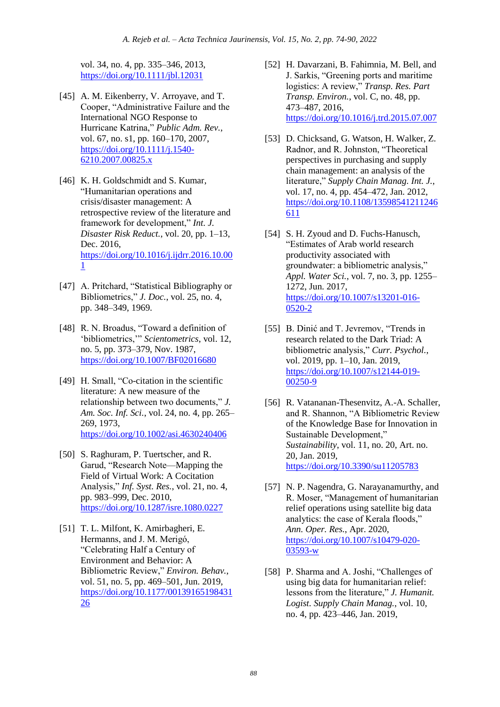vol. 34, no. 4, pp. 335–346, 2013, <https://doi.org/10.1111/jbl.12031>

- [45] A. M. Eikenberry, V. Arroyave, and T. Cooper, "Administrative Failure and the International NGO Response to Hurricane Katrina," *Public Adm. Rev.*, vol. 67, no. s1, pp. 160–170, 2007, [https://doi.org/10.1111/j.1540-](https://doi.org/10.1111/j.1540-6210.2007.00825.x) [6210.2007.00825.x](https://doi.org/10.1111/j.1540-6210.2007.00825.x)
- [46] K. H. Goldschmidt and S. Kumar, "Humanitarian operations and crisis/disaster management: A retrospective review of the literature and framework for development," *Int. J. Disaster Risk Reduct.*, vol. 20, pp. 1–13, Dec. 2016, [https://doi.org/10.1016/j.ijdrr.2016.10.00](https://doi.org/10.1016/j.ijdrr.2016.10.001) [1](https://doi.org/10.1016/j.ijdrr.2016.10.001)
- [47] A. Pritchard, "Statistical Bibliography or Bibliometrics," *J. Doc.*, vol. 25, no. 4, pp. 348–349, 1969.
- [48] R. N. Broadus, "Toward a definition of 'bibliometrics,'" *Scientometrics*, vol. 12, no. 5, pp. 373–379, Nov. 1987, <https://doi.org/10.1007/BF02016680>
- [49] H. Small, "Co-citation in the scientific literature: A new measure of the relationship between two documents," *J. Am. Soc. Inf. Sci.*, vol. 24, no. 4, pp. 265– 269, 1973, <https://doi.org/10.1002/asi.4630240406>
- [50] S. Raghuram, P. Tuertscher, and R. Garud, "Research Note—Mapping the Field of Virtual Work: A Cocitation Analysis," *Inf. Syst. Res.*, vol. 21, no. 4, pp. 983–999, Dec. 2010, <https://doi.org/10.1287/isre.1080.0227>
- [51] T. L. Milfont, K. Amirbagheri, E. Hermanns, and J. M. Merigó, "Celebrating Half a Century of Environment and Behavior: A Bibliometric Review," *Environ. Behav.*, vol. 51, no. 5, pp. 469–501, Jun. 2019, [https://doi.org/10.1177/00139165198431](https://doi.org/10.1177/0013916519843126) [26](https://doi.org/10.1177/0013916519843126)
- [52] H. Davarzani, B. Fahimnia, M. Bell, and J. Sarkis, "Greening ports and maritime logistics: A review," *Transp. Res. Part Transp. Environ.*, vol. C, no. 48, pp. 473–487, 2016, <https://doi.org/10.1016/j.trd.2015.07.007>
- [53] D. Chicksand, G. Watson, H. Walker, Z. Radnor, and R. Johnston, "Theoretical perspectives in purchasing and supply chain management: an analysis of the literature," *Supply Chain Manag. Int. J.*, vol. 17, no. 4, pp. 454–472, Jan. 2012, [https://doi.org/10.1108/13598541211246](https://doi.org/10.1108/13598541211246611) [611](https://doi.org/10.1108/13598541211246611)
- [54] S. H. Zyoud and D. Fuchs-Hanusch, "Estimates of Arab world research productivity associated with groundwater: a bibliometric analysis," *Appl. Water Sci.*, vol. 7, no. 3, pp. 1255– 1272, Jun. 2017, [https://doi.org/10.1007/s13201-016-](https://doi.org/10.1007/s13201-016-0520-2) [0520-2](https://doi.org/10.1007/s13201-016-0520-2)
- [55] B. Dinić and T. Jevremov, "Trends in research related to the Dark Triad: A bibliometric analysis," *Curr. Psychol.*, vol. 2019, pp. 1–10, Jan. 2019, [https://doi.org/10.1007/s12144-019-](https://doi.org/10.1007/s12144-019-00250-9) [00250-9](https://doi.org/10.1007/s12144-019-00250-9)
- [56] R. Vatananan-Thesenvitz, A.-A. Schaller, and R. Shannon, "A Bibliometric Review of the Knowledge Base for Innovation in Sustainable Development," *Sustainability*, vol. 11, no. 20, Art. no. 20, Jan. 2019, <https://doi.org/10.3390/su11205783>
- [57] N. P. Nagendra, G. Narayanamurthy, and R. Moser, "Management of humanitarian relief operations using satellite big data analytics: the case of Kerala floods," *Ann. Oper. Res.*, Apr. 2020, [https://doi.org/10.1007/s10479-020-](https://doi.org/10.1007/s10479-020-03593-w) [03593-w](https://doi.org/10.1007/s10479-020-03593-w)
- [58] P. Sharma and A. Joshi, "Challenges of using big data for humanitarian relief: lessons from the literature," *J. Humanit. Logist. Supply Chain Manag.*, vol. 10, no. 4, pp. 423–446, Jan. 2019,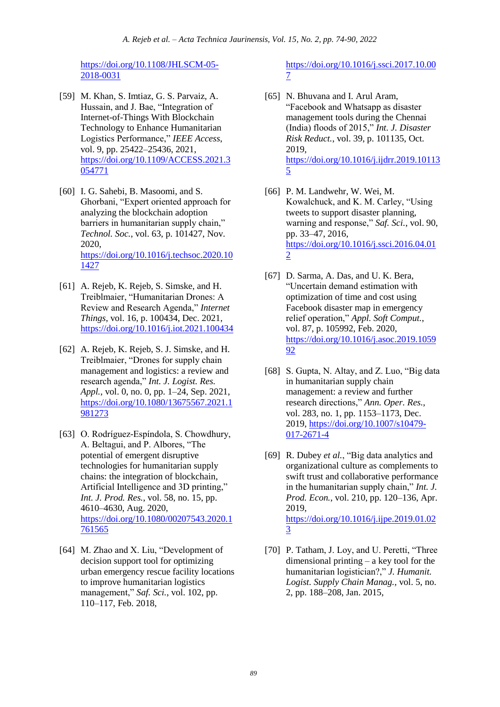[https://doi.org/10.1108/JHLSCM-05-](https://doi.org/10.1108/JHLSCM-05-2018-0031) [2018-0031](https://doi.org/10.1108/JHLSCM-05-2018-0031)

- [59] M. Khan, S. Imtiaz, G. S. Parvaiz, A. Hussain, and J. Bae, "Integration of Internet-of-Things With Blockchain Technology to Enhance Humanitarian Logistics Performance," *IEEE Access*, vol. 9, pp. 25422–25436, 2021, [https://doi.org/10.1109/ACCESS.2021.3](https://doi.org/10.1109/ACCESS.2021.3054771) [054771](https://doi.org/10.1109/ACCESS.2021.3054771)
- [60] I. G. Sahebi, B. Masoomi, and S. Ghorbani, "Expert oriented approach for analyzing the blockchain adoption barriers in humanitarian supply chain," *Technol. Soc.*, vol. 63, p. 101427, Nov. 2020, [https://doi.org/10.1016/j.techsoc.2020.10](https://doi.org/10.1016/j.techsoc.2020.101427) [1427](https://doi.org/10.1016/j.techsoc.2020.101427)
- [61] A. Rejeb, K. Rejeb, S. Simske, and H. Treiblmaier, "Humanitarian Drones: A Review and Research Agenda," *Internet Things*, vol. 16, p. 100434, Dec. 2021, <https://doi.org/10.1016/j.iot.2021.100434>
- [62] A. Rejeb, K. Rejeb, S. J. Simske, and H. Treiblmaier, "Drones for supply chain management and logistics: a review and research agenda," *Int. J. Logist. Res. Appl.*, vol. 0, no. 0, pp. 1–24, Sep. 2021, [https://doi.org/10.1080/13675567.2021.1](https://doi.org/10.1080/13675567.2021.1981273) [981273](https://doi.org/10.1080/13675567.2021.1981273)
- [63] O. Rodríguez-Espíndola, S. Chowdhury, A. Beltagui, and P. Albores, "The potential of emergent disruptive technologies for humanitarian supply chains: the integration of blockchain, Artificial Intelligence and 3D printing," *Int. J. Prod. Res.*, vol. 58, no. 15, pp. 4610–4630, Aug. 2020, [https://doi.org/10.1080/00207543.2020.1](https://doi.org/10.1080/00207543.2020.1761565) [761565](https://doi.org/10.1080/00207543.2020.1761565)
- [64] M. Zhao and X. Liu, "Development of decision support tool for optimizing urban emergency rescue facility locations to improve humanitarian logistics management," *Saf. Sci.*, vol. 102, pp. 110–117, Feb. 2018,

[https://doi.org/10.1016/j.ssci.2017.10.00](https://doi.org/10.1016/j.ssci.2017.10.007) [7](https://doi.org/10.1016/j.ssci.2017.10.007)

- [65] N. Bhuvana and I. Arul Aram, "Facebook and Whatsapp as disaster management tools during the Chennai (India) floods of 2015," *Int. J. Disaster Risk Reduct.*, vol. 39, p. 101135, Oct. 2019, [https://doi.org/10.1016/j.ijdrr.2019.10113](https://doi.org/10.1016/j.ijdrr.2019.101135) [5](https://doi.org/10.1016/j.ijdrr.2019.101135)
- [66] P. M. Landwehr, W. Wei, M. Kowalchuck, and K. M. Carley, "Using tweets to support disaster planning, warning and response," *Saf. Sci.*, vol. 90, pp. 33–47, 2016, [https://doi.org/10.1016/j.ssci.2016.04.01](https://doi.org/10.1016/j.ssci.2016.04.012) [2](https://doi.org/10.1016/j.ssci.2016.04.012)
- [67] D. Sarma, A. Das, and U. K. Bera, "Uncertain demand estimation with optimization of time and cost using Facebook disaster map in emergency relief operation," *Appl. Soft Comput.*, vol. 87, p. 105992, Feb. 2020, [https://doi.org/10.1016/j.asoc.2019.1059](https://doi.org/10.1016/j.asoc.2019.105992) [92](https://doi.org/10.1016/j.asoc.2019.105992)
- [68] S. Gupta, N. Altay, and Z. Luo, "Big data in humanitarian supply chain management: a review and further research directions," *Ann. Oper. Res.*, vol. 283, no. 1, pp. 1153–1173, Dec. 2019, [https://doi.org/10.1007/s10479-](https://doi.org/10.1007/s10479-017-2671-4) [017-2671-4](https://doi.org/10.1007/s10479-017-2671-4)
- [69] R. Dubey *et al.*, "Big data analytics and organizational culture as complements to swift trust and collaborative performance in the humanitarian supply chain," *Int. J. Prod. Econ.*, vol. 210, pp. 120–136, Apr. 2019, [https://doi.org/10.1016/j.ijpe.2019.01.02](https://doi.org/10.1016/j.ijpe.2019.01.023) [3](https://doi.org/10.1016/j.ijpe.2019.01.023)
- [70] P. Tatham, J. Loy, and U. Peretti, "Three dimensional printing – a key tool for the humanitarian logistician?," *J. Humanit. Logist. Supply Chain Manag.*, vol. 5, no. 2, pp. 188–208, Jan. 2015,